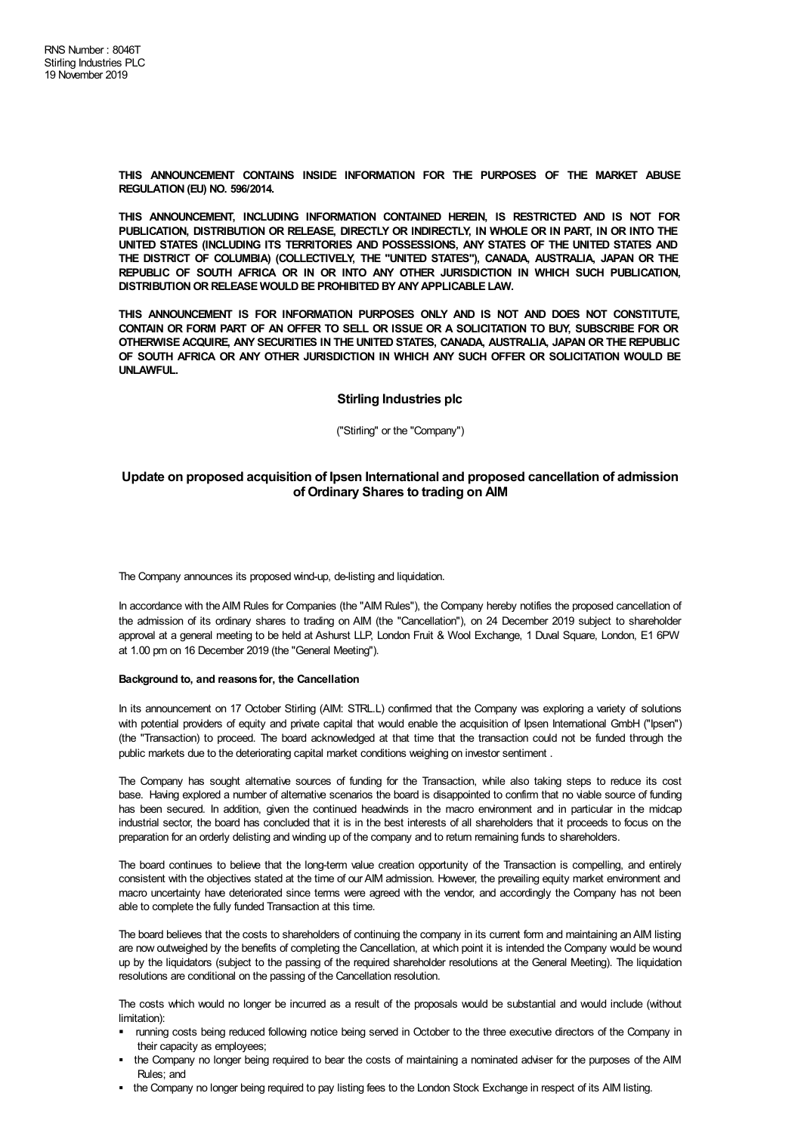**THIS ANNOUNCEMENT CONTAINS INSIDE INFORMATION FOR THE PURPOSES OF THE MARKET ABUSE REGULATION (EU) NO. 596/2014.**

**THIS ANNOUNCEMENT, INCLUDING INFORMATION CONTAINED HEREIN, IS RESTRICTED AND IS NOT FOR PUBLICATION, DISTRIBUTION OR RELEASE, DIRECTLY OR INDIRECTLY, IN WHOLE OR IN PART, IN OR INTO THE UNITED STATES (INCLUDING ITS TERRITORIES AND POSSESSIONS, ANY STATES OF THE UNITED STATES AND THE DISTRICT OF COLUMBIA) (COLLECTIVELY, THE "UNITED STATES"), CANADA, AUSTRALIA, JAPAN OR THE REPUBLIC OF SOUTH AFRICA OR IN OR INTO ANY OTHER JURISDICTION IN WHICH SUCH PUBLICATION, DISTRIBUTIONOR RELEASE WOULD BE PROHIBITED BYANYAPPLICABLE LAW.**

**THIS ANNOUNCEMENT IS FOR INFORMATION PURPOSES ONLY AND IS NOT AND DOES NOT CONSTITUTE,** CONTAIN OR FORM PART OF AN OFFER TO SELL OR ISSUE OR A SOLICITATION TO BUY, SUBSCRIBE FOR OR **OTHERWISE ACQUIRE, ANY SECURITIES IN THE UNITED STATES, CANADA, AUSTRALIA, JAPAN OR THE REPUBLIC OF SOUTH AFRICA OR ANY OTHER JURISDICTION IN WHICH ANY SUCH OFFER OR SOLICITATION WOULD BE UNLAWFUL.**

# **Stirling Industries plc**

("Stirling" or the "Company")

# **Update on proposed acquisition of Ipsen International and proposed cancellation of admission of Ordinary Shares to trading on AIM**

The Company announces its proposed wind-up, de-listing and liquidation.

In accordance with theAIM Rules for Companies (the "AIM Rules"), the Company hereby notifies the proposed cancellation of the admission of its ordinary shares to trading on AIM (the "Cancellation"), on 24 December 2019 subject to shareholder approval at a general meeting to be held at Ashurst LLP, London Fruit & Wool Exchange, 1 Duval Square, London, E1 6PW at 1.00 pm on 16 December 2019 (the "General Meeting").

#### **Background to, and reasons for, the Cancellation**

In its announcement on 17 October Stirling (AIM: STRL.L) confirmed that the Company was exploring a variety of solutions with potential providers of equity and private capital that would enable the acquisition of Ipsen International GmbH ("Ipsen") (the "Transaction) to proceed. The board acknowledged at that time that the transaction could not be funded through the public markets due to the deteriorating capital market conditions weighing on investor sentiment .

The Company has sought alternative sources of funding for the Transaction, while also taking steps to reduce its cost base. Having explored a number of alternative scenarios the board is disappointed to confirm that no viable source of funding has been secured. In addition, given the continued headwinds in the macro environment and in particular in the midcap industrial sector, the board has concluded that it is in the best interests of all shareholders that it proceeds to focus on the preparation for an orderly delisting and winding up of the company and to return remaining funds to shareholders.

The board continues to believe that the long-term value creation opportunity of the Transaction is compelling, and entirely consistent with the objectives stated at the time of our AIM admission. However, the prevailing equity market environment and macro uncertainty have deteriorated since terms were agreed with the vendor, and accordingly the Company has not been able to complete the fully funded Transaction at this time.

The board believes that the costs to shareholders of continuing the company in its current form and maintaining anAIM listing are now outweighed by the benefits of completing the Cancellation, at which point it is intended the Company would be wound up by the liquidators (subject to the passing of the required shareholder resolutions at the General Meeting). The liquidation resolutions are conditional on the passing of the Cancellation resolution.

The costs which would no longer be incurred as a result of the proposals would be substantial and would include (without limitation):

- § running costs being reduced following notice being served in October to the three executive directors of the Company in their capacity as employees;
- § the Company no longer being required to bear the costs of maintaining a nominated adviser for the purposes of the AIM Rules; and
- the Company no longer being required to pay listing fees to the London Stock Exchange in respect of its AIM listing.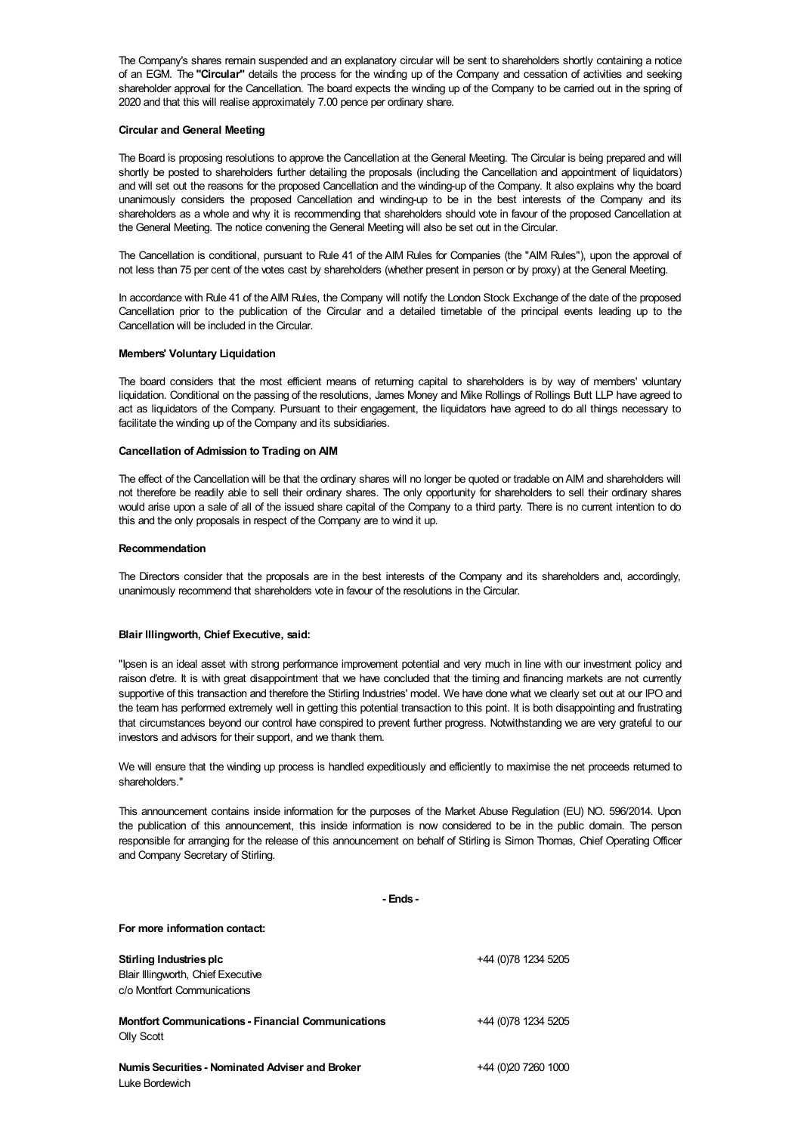The Company's shares remain suspended and an explanatory circular will be sent to shareholders shortly containing a notice of an EGM. The **"Circular"** details the process for the winding up of the Company and cessation of activities and seeking shareholder approval for the Cancellation. The board expects the winding up of the Company to be carried out in the spring of 2020 and that this will realise approximately 7.00 pence per ordinary share.

### **Circular and General Meeting**

The Board is proposing resolutions to approve the Cancellation at the General Meeting. The Circular is being prepared and will shortly be posted to shareholders further detailing the proposals (including the Cancellation and appointment of liquidators) and will set out the reasons for the proposed Cancellation and the winding-up of the Company. It also explains why the board unanimously considers the proposed Cancellation and winding-up to be in the best interests of the Company and its shareholders as a whole and why it is recommending that shareholders should vote in favour of the proposed Cancellation at the General Meeting. The notice convening the General Meeting will also be set out in the Circular.

The Cancellation is conditional, pursuant to Rule 41 of the AIM Rules for Companies (the "AIM Rules"), upon the approval of not less than 75 per cent of the votes cast by shareholders (whether present in person or by proxy) at the General Meeting.

In accordance with Rule 41 of theAIM Rules, the Company will notify the London Stock Exchange of the date of the proposed Cancellation prior to the publication of the Circular and a detailed timetable of the principal events leading up to the Cancellation will be included in the Circular.

# **Members' Voluntary Liquidation**

The board considers that the most efficient means of returning capital to shareholders is by way of members' voluntary liquidation. Conditional on the passing of the resolutions, James Money and Mike Rollings of Rollings Butt LLP have agreed to act as liquidators of the Company. Pursuant to their engagement, the liquidators have agreed to do all things necessary to facilitate the winding up of the Company and its subsidiaries.

#### **Cancellation of Admission to Trading on AIM**

The effect of the Cancellation will be that the ordinary shares will no longer be quoted or tradable on AIM and shareholders will not therefore be readily able to sell their ordinary shares. The only opportunity for shareholders to sell their ordinary shares would arise upon a sale of all of the issued share capital of the Company to a third party. There is no current intention to do this and the only proposals in respect of the Company are to wind it up.

#### **Recommendation**

The Directors consider that the proposals are in the best interests of the Company and its shareholders and, accordingly, unanimously recommend that shareholders vote in favour of the resolutions in the Circular.

# **Blair Illingworth, Chief Executive, said:**

**For more information contact:**

"Ipsen is an ideal asset with strong performance improvement potential and very much in line with our investment policy and raison d'etre. It is with great disappointment that we have concluded that the timing and financing markets are not currently supportive of this transaction and therefore the Stirling Industries' model. We have done what we clearly set out at our IPO and the team has performed extremely well in getting this potential transaction to this point. It is both disappointing and frustrating that circumstances beyond our control have conspired to prevent further progress. Notwithstanding we are very grateful to our investors and advisors for their support, and we thank them.

We will ensure that the winding up process is handled expeditiously and efficiently to maximise the net proceeds returned to shareholders."

This announcement contains inside information for the purposes of the Market Abuse Regulation (EU) NO. 596/2014. Upon the publication of this announcement, this inside information is now considered to be in the public domain. The person responsible for arranging for the release of this announcement on behalf of Stirling is Simon Thomas, Chief Operating Officer and Company Secretary of Stirling.

**- Ends -**

| Stirling Industries plc                                   | +44 (0)78 1234 5205 |
|-----------------------------------------------------------|---------------------|
| Blair Illingworth, Chief Executive                        |                     |
| c/o Montfort Communications                               |                     |
| <b>Montfort Communications - Financial Communications</b> | +44 (0)78 1234 5205 |
| <b>Olly Scott</b>                                         |                     |
| <b>Numis Securities - Nominated Adviser and Broker</b>    | +44 (0)20 7260 1000 |
| Luke Bordewich                                            |                     |